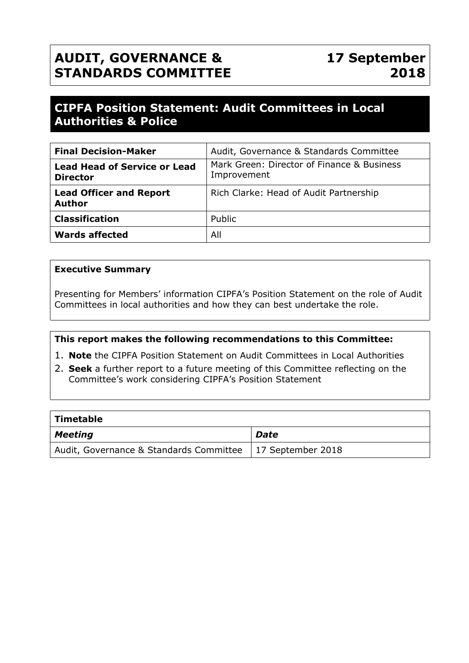# **AUDIT, GOVERNANCE & STANDARDS COMMITTEE**

# **CIPFA Position Statement: Audit Committees in Local Authorities & Police**

| <b>Final Decision-Maker</b>                            | Audit, Governance & Standards Committee                   |
|--------------------------------------------------------|-----------------------------------------------------------|
| <b>Lead Head of Service or Lead</b><br><b>Director</b> | Mark Green: Director of Finance & Business<br>Improvement |
| <b>Lead Officer and Report</b><br><b>Author</b>        | Rich Clarke: Head of Audit Partnership                    |
| <b>Classification</b>                                  | Public                                                    |
| <b>Wards affected</b>                                  | All                                                       |

#### **Executive Summary**

Presenting for Members' information CIPFA's Position Statement on the role of Audit Committees in local authorities and how they can best undertake the role.

#### **This report makes the following recommendations to this Committee:**

- 1. **Note** the CIPFA Position Statement on Audit Committees in Local Authorities
- 2. **Seek** a further report to a future meeting of this Committee reflecting on the Committee's work considering CIPFA's Position Statement

| $\mid$ Timetable                        |                           |  |  |  |
|-----------------------------------------|---------------------------|--|--|--|
| $\vert$ Meeting                         | <b>Date</b>               |  |  |  |
| Audit, Governance & Standards Committee | $\vert$ 17 September 2018 |  |  |  |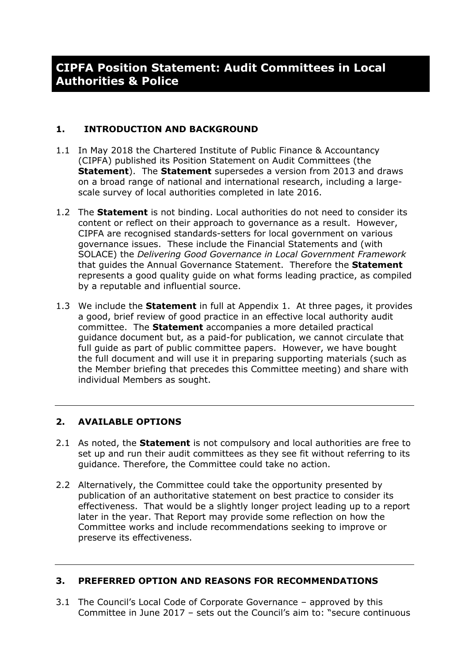#### **1. INTRODUCTION AND BACKGROUND**

- 1.1 In May 2018 the Chartered Institute of Public Finance & Accountancy (CIPFA) published its Position Statement on Audit Committees (the **Statement**). The **Statement** supersedes a version from 2013 and draws on a broad range of national and international research, including a largescale survey of local authorities completed in late 2016.
- 1.2 The **Statement** is not binding. Local authorities do not need to consider its content or reflect on their approach to governance as a result. However, CIPFA are recognised standards-setters for local government on various governance issues. These include the Financial Statements and (with SOLACE) the *Delivering Good Governance in Local Government Framework* that guides the Annual Governance Statement. Therefore the **Statement** represents a good quality guide on what forms leading practice, as compiled by a reputable and influential source.
- 1.3 We include the **Statement** in full at Appendix 1. At three pages, it provides a good, brief review of good practice in an effective local authority audit committee. The **Statement** accompanies a more detailed practical guidance document but, as a paid-for publication, we cannot circulate that full guide as part of public committee papers. However, we have bought the full document and will use it in preparing supporting materials (such as the Member briefing that precedes this Committee meeting) and share with individual Members as sought.

#### **2. AVAILABLE OPTIONS**

- 2.1 As noted, the **Statement** is not compulsory and local authorities are free to set up and run their audit committees as they see fit without referring to its guidance. Therefore, the Committee could take no action.
- 2.2 Alternatively, the Committee could take the opportunity presented by publication of an authoritative statement on best practice to consider its effectiveness. That would be a slightly longer project leading up to a report later in the year. That Report may provide some reflection on how the Committee works and include recommendations seeking to improve or preserve its effectiveness.

#### **3. PREFERRED OPTION AND REASONS FOR RECOMMENDATIONS**

3.1 The Council's Local Code of Corporate Governance – approved by this Committee in June 2017 – sets out the Council's aim to: "secure continuous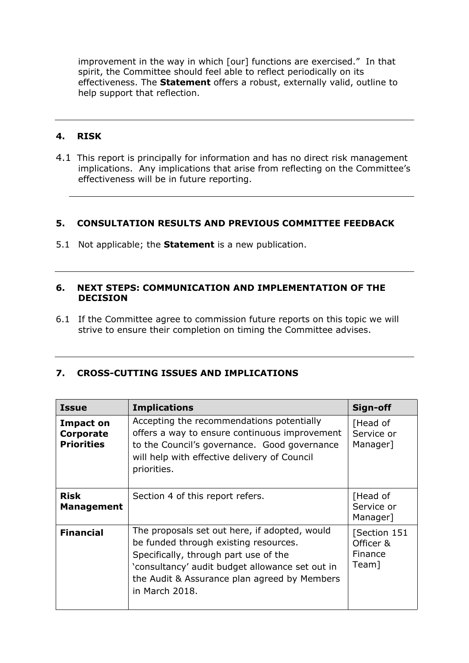improvement in the way in which [our] functions are exercised." In that spirit, the Committee should feel able to reflect periodically on its effectiveness. The **Statement** offers a robust, externally valid, outline to help support that reflection.

### **4. RISK**

4.1 This report is principally for information and has no direct risk management implications. Any implications that arise from reflecting on the Committee's effectiveness will be in future reporting.

#### **5. CONSULTATION RESULTS AND PREVIOUS COMMITTEE FEEDBACK**

5.1 Not applicable; the **Statement** is a new publication.

#### **6. NEXT STEPS: COMMUNICATION AND IMPLEMENTATION OF THE DECISION**

6.1 If the Committee agree to commission future reports on this topic we will strive to ensure their completion on timing the Committee advises.

#### **7. CROSS-CUTTING ISSUES AND IMPLICATIONS**

| <b>Issue</b>                                       | <b>Implications</b>                                                                                                                                                                                                                                  | Sign-off                                      |
|----------------------------------------------------|------------------------------------------------------------------------------------------------------------------------------------------------------------------------------------------------------------------------------------------------------|-----------------------------------------------|
| <b>Impact on</b><br>Corporate<br><b>Priorities</b> | Accepting the recommendations potentially<br>offers a way to ensure continuous improvement<br>to the Council's governance. Good governance<br>will help with effective delivery of Council<br>priorities.                                            | [Head of<br>Service or<br>Manager]            |
| <b>Risk</b><br><b>Management</b>                   | Section 4 of this report refers.                                                                                                                                                                                                                     | [Head of<br>Service or<br>Manager]            |
| <b>Financial</b>                                   | The proposals set out here, if adopted, would<br>be funded through existing resources.<br>Specifically, through part use of the<br>'consultancy' audit budget allowance set out in<br>the Audit & Assurance plan agreed by Members<br>in March 2018. | [Section 151<br>Officer &<br>Finance<br>Team] |